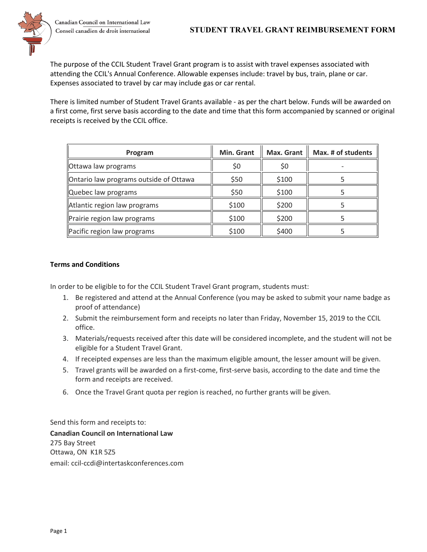

The purpose of the CCIL Student Travel Grant program is to assist with travel expenses associated with attending the CCIL's Annual Conference. Allowable expenses include: travel by bus, train, plane or car. Expenses associated to travel by car may include gas or car rental.

There is limited number of Student Travel Grants available - as per the chart below. Funds will be awarded on a first come, first serve basis according to the date and time that this form accompanied by scanned or original receipts is received by the CCIL office.

| Program                                | Min. Grant | Max. Grant | Max. # of students |
|----------------------------------------|------------|------------|--------------------|
| Ottawa law programs                    | \$0        | \$0        |                    |
| Ontario law programs outside of Ottawa | \$50       | \$100      |                    |
| Quebec law programs                    | \$50       | \$100      |                    |
| Atlantic region law programs           | \$100      | \$200      |                    |
| Prairie region law programs            | \$100      | \$200      |                    |
| Pacific region law programs            | \$100      | \$400      |                    |

## **Terms and Conditions**

In order to be eligible to for the CCIL Student Travel Grant program, students must:

- 1. Be registered and attend at the Annual Conference (you may be asked to submit your name badge as proof of attendance)
- 2. Submit the reimbursement form and receipts no later than Friday, November 15, 2019 to the CCIL office.
- 3. Materials/requests received after this date will be considered incomplete, and the student will not be eligible for a Student Travel Grant.
- 4. If receipted expenses are less than the maximum eligible amount, the lesser amount will be given.
- 5. Travel grants will be awarded on a first-come, first-serve basis, according to the date and time the form and receipts are received.
- 6. Once the Travel Grant quota per region is reached, no further grants will be given.

Send this form and receipts to: **Canadian Council on International Law** 275 Bay Street Ottawa, ON K1R 5Z5 email: ccil-ccdi@intertaskconferences.com